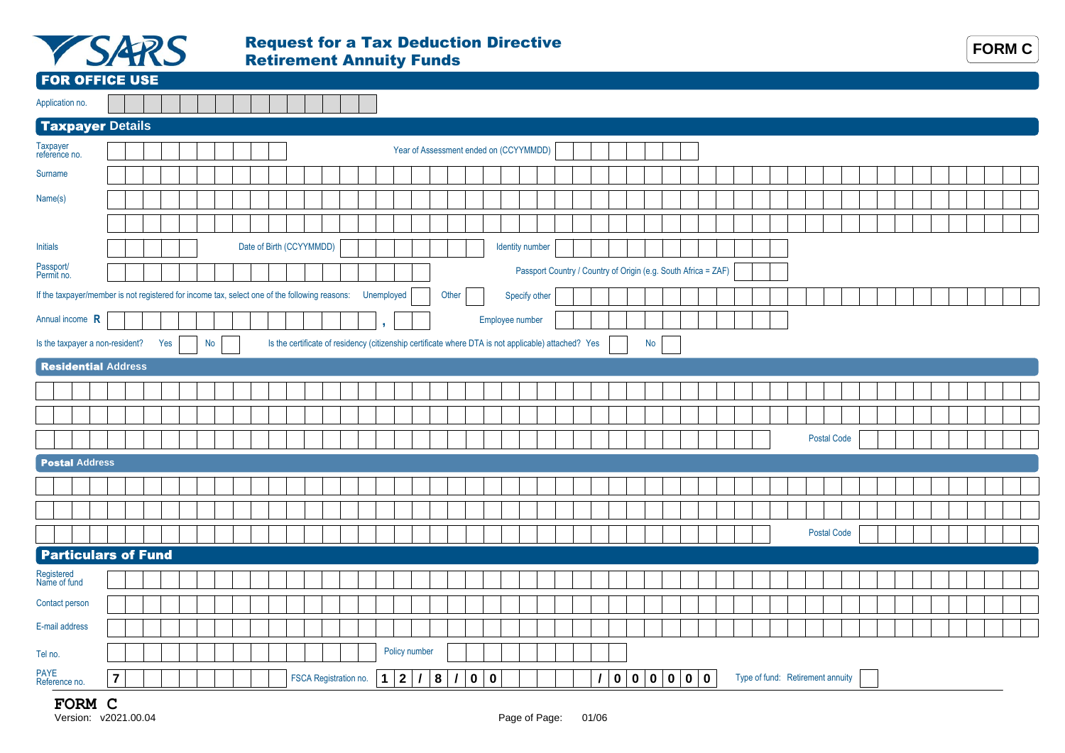

## Request for a Tax Deduction Directive Retirement Annuity Funds

15

 $\mathbb{R}^2$ 



## FOR OFFICE USE

Application no.

| <b>Taxpayer Details</b><br>Year of Assessment ended on (CCYYMMDD)<br>Date of Birth (CCYYMMDD)<br>Identity number<br>Passport Country / Country of Origin (e.g. South Africa = ZAF)<br>If the taxpayer/member is not registered for income tax, select one of the following reasons:<br>Unemployed<br>Other<br>Specify other<br>Employee number<br>٠<br>Is the certificate of residency (citizenship certificate where DTA is not applicable) attached? Yes<br>Is the taxpayer a non-resident?<br>Yes<br>No<br>No<br><b>Residential Address</b><br><b>Postal Code</b><br><b>Postal Address</b><br><b>Postal Code</b><br><b>Particulars of Fund</b><br>Policy number<br>Tel no. |                            |                |  |  |  |  |  | __ |             |   |          |             |             |  |  |              |  |  |  |  |  |  |  |  |  |
|-------------------------------------------------------------------------------------------------------------------------------------------------------------------------------------------------------------------------------------------------------------------------------------------------------------------------------------------------------------------------------------------------------------------------------------------------------------------------------------------------------------------------------------------------------------------------------------------------------------------------------------------------------------------------------|----------------------------|----------------|--|--|--|--|--|----|-------------|---|----------|-------------|-------------|--|--|--------------|--|--|--|--|--|--|--|--|--|
|                                                                                                                                                                                                                                                                                                                                                                                                                                                                                                                                                                                                                                                                               |                            |                |  |  |  |  |  |    |             |   |          |             |             |  |  |              |  |  |  |  |  |  |  |  |  |
|                                                                                                                                                                                                                                                                                                                                                                                                                                                                                                                                                                                                                                                                               | Taxpayer<br>reference no.  |                |  |  |  |  |  |    |             |   |          |             |             |  |  |              |  |  |  |  |  |  |  |  |  |
|                                                                                                                                                                                                                                                                                                                                                                                                                                                                                                                                                                                                                                                                               | Surname                    |                |  |  |  |  |  |    |             |   |          |             |             |  |  |              |  |  |  |  |  |  |  |  |  |
|                                                                                                                                                                                                                                                                                                                                                                                                                                                                                                                                                                                                                                                                               | Name(s)                    |                |  |  |  |  |  |    |             |   |          |             |             |  |  |              |  |  |  |  |  |  |  |  |  |
|                                                                                                                                                                                                                                                                                                                                                                                                                                                                                                                                                                                                                                                                               |                            |                |  |  |  |  |  |    |             |   |          |             |             |  |  |              |  |  |  |  |  |  |  |  |  |
|                                                                                                                                                                                                                                                                                                                                                                                                                                                                                                                                                                                                                                                                               | <b>Initials</b>            |                |  |  |  |  |  |    |             |   |          |             |             |  |  |              |  |  |  |  |  |  |  |  |  |
|                                                                                                                                                                                                                                                                                                                                                                                                                                                                                                                                                                                                                                                                               | Passport/<br>Permit no.    |                |  |  |  |  |  |    |             |   |          |             |             |  |  |              |  |  |  |  |  |  |  |  |  |
|                                                                                                                                                                                                                                                                                                                                                                                                                                                                                                                                                                                                                                                                               |                            |                |  |  |  |  |  |    |             |   |          |             |             |  |  |              |  |  |  |  |  |  |  |  |  |
|                                                                                                                                                                                                                                                                                                                                                                                                                                                                                                                                                                                                                                                                               | Annual income R            |                |  |  |  |  |  |    |             |   |          |             |             |  |  |              |  |  |  |  |  |  |  |  |  |
|                                                                                                                                                                                                                                                                                                                                                                                                                                                                                                                                                                                                                                                                               |                            |                |  |  |  |  |  |    |             |   |          |             |             |  |  |              |  |  |  |  |  |  |  |  |  |
|                                                                                                                                                                                                                                                                                                                                                                                                                                                                                                                                                                                                                                                                               |                            |                |  |  |  |  |  |    |             |   |          |             |             |  |  |              |  |  |  |  |  |  |  |  |  |
|                                                                                                                                                                                                                                                                                                                                                                                                                                                                                                                                                                                                                                                                               |                            |                |  |  |  |  |  |    |             |   |          |             |             |  |  |              |  |  |  |  |  |  |  |  |  |
|                                                                                                                                                                                                                                                                                                                                                                                                                                                                                                                                                                                                                                                                               |                            |                |  |  |  |  |  |    |             |   |          |             |             |  |  |              |  |  |  |  |  |  |  |  |  |
|                                                                                                                                                                                                                                                                                                                                                                                                                                                                                                                                                                                                                                                                               |                            |                |  |  |  |  |  |    |             |   |          |             |             |  |  |              |  |  |  |  |  |  |  |  |  |
|                                                                                                                                                                                                                                                                                                                                                                                                                                                                                                                                                                                                                                                                               |                            |                |  |  |  |  |  |    |             |   |          |             |             |  |  |              |  |  |  |  |  |  |  |  |  |
|                                                                                                                                                                                                                                                                                                                                                                                                                                                                                                                                                                                                                                                                               |                            |                |  |  |  |  |  |    |             |   |          |             |             |  |  |              |  |  |  |  |  |  |  |  |  |
|                                                                                                                                                                                                                                                                                                                                                                                                                                                                                                                                                                                                                                                                               |                            |                |  |  |  |  |  |    |             |   |          |             |             |  |  |              |  |  |  |  |  |  |  |  |  |
|                                                                                                                                                                                                                                                                                                                                                                                                                                                                                                                                                                                                                                                                               |                            |                |  |  |  |  |  |    |             |   |          |             |             |  |  |              |  |  |  |  |  |  |  |  |  |
|                                                                                                                                                                                                                                                                                                                                                                                                                                                                                                                                                                                                                                                                               |                            |                |  |  |  |  |  |    |             |   |          |             |             |  |  |              |  |  |  |  |  |  |  |  |  |
|                                                                                                                                                                                                                                                                                                                                                                                                                                                                                                                                                                                                                                                                               |                            |                |  |  |  |  |  |    |             |   |          |             |             |  |  |              |  |  |  |  |  |  |  |  |  |
|                                                                                                                                                                                                                                                                                                                                                                                                                                                                                                                                                                                                                                                                               | Registered<br>Name of fund |                |  |  |  |  |  |    |             |   |          |             |             |  |  |              |  |  |  |  |  |  |  |  |  |
|                                                                                                                                                                                                                                                                                                                                                                                                                                                                                                                                                                                                                                                                               | Contact person             |                |  |  |  |  |  |    |             |   |          |             |             |  |  |              |  |  |  |  |  |  |  |  |  |
|                                                                                                                                                                                                                                                                                                                                                                                                                                                                                                                                                                                                                                                                               | E-mail address             |                |  |  |  |  |  |    |             |   |          |             |             |  |  |              |  |  |  |  |  |  |  |  |  |
|                                                                                                                                                                                                                                                                                                                                                                                                                                                                                                                                                                                                                                                                               |                            |                |  |  |  |  |  |    |             |   |          |             |             |  |  |              |  |  |  |  |  |  |  |  |  |
| Type of fund: Retirement annuity<br>FSCA Registration no.<br>$\prime$<br>8<br>$\prime$                                                                                                                                                                                                                                                                                                                                                                                                                                                                                                                                                                                        | PAYE<br>Reference no.      | $\overline{7}$ |  |  |  |  |  |    | $\mathbf 1$ | 2 | $\prime$ | $\mathbf 0$ | $\mathbf 0$ |  |  | $\mathbf{0}$ |  |  |  |  |  |  |  |  |  |

## **FORM C**<br>Version: v2021.00.04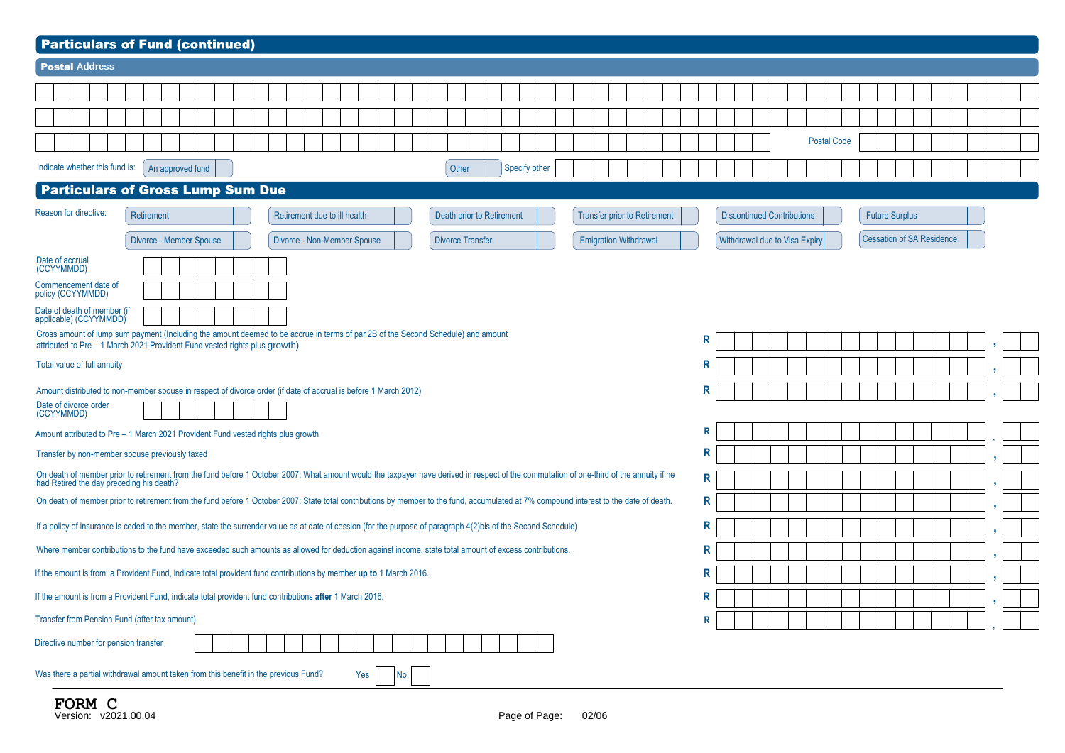| <b>Particulars of Fund (continued)</b>                                                                                                                                                                                              |                                   |                                  |  |  |  |  |  |  |  |  |  |  |  |
|-------------------------------------------------------------------------------------------------------------------------------------------------------------------------------------------------------------------------------------|-----------------------------------|----------------------------------|--|--|--|--|--|--|--|--|--|--|--|
| <b>Postal Address</b>                                                                                                                                                                                                               |                                   |                                  |  |  |  |  |  |  |  |  |  |  |  |
|                                                                                                                                                                                                                                     |                                   |                                  |  |  |  |  |  |  |  |  |  |  |  |
|                                                                                                                                                                                                                                     |                                   |                                  |  |  |  |  |  |  |  |  |  |  |  |
|                                                                                                                                                                                                                                     | <b>Postal Code</b>                |                                  |  |  |  |  |  |  |  |  |  |  |  |
|                                                                                                                                                                                                                                     |                                   |                                  |  |  |  |  |  |  |  |  |  |  |  |
| Indicate whether this fund is:<br>Specify other<br>An approved fund<br>Other                                                                                                                                                        |                                   |                                  |  |  |  |  |  |  |  |  |  |  |  |
| <b>Particulars of Gross Lump Sum Due</b>                                                                                                                                                                                            |                                   |                                  |  |  |  |  |  |  |  |  |  |  |  |
| Reason for directive:<br><b>Retirement</b><br>Retirement due to ill health<br>Death prior to Retirement<br><b>Transfer prior to Retirement</b>                                                                                      | <b>Discontinued Contributions</b> | <b>Future Surplus</b>            |  |  |  |  |  |  |  |  |  |  |  |
| Divorce - Member Spouse<br>Divorce - Non-Member Spouse<br><b>Divorce Transfer</b><br><b>Emigration Withdrawal</b>                                                                                                                   | Withdrawal due to Visa Expiry     | <b>Cessation of SA Residence</b> |  |  |  |  |  |  |  |  |  |  |  |
| Date of accrual<br>(CCYYMMDD)                                                                                                                                                                                                       |                                   |                                  |  |  |  |  |  |  |  |  |  |  |  |
| Commencement date of<br>policy (CCYYMMDD)                                                                                                                                                                                           |                                   |                                  |  |  |  |  |  |  |  |  |  |  |  |
| Date of death of member (if<br>applicable) (CCYYMMDD)                                                                                                                                                                               |                                   |                                  |  |  |  |  |  |  |  |  |  |  |  |
| Gross amount of lump sum payment (Including the amount deemed to be accrue in terms of par 2B of the Second Schedule) and amount                                                                                                    | R                                 |                                  |  |  |  |  |  |  |  |  |  |  |  |
| attributed to Pre - 1 March 2021 Provident Fund vested rights plus growth)                                                                                                                                                          |                                   |                                  |  |  |  |  |  |  |  |  |  |  |  |
|                                                                                                                                                                                                                                     |                                   |                                  |  |  |  |  |  |  |  |  |  |  |  |
| Amount distributed to non-member spouse in respect of divorce order (if date of accrual is before 1 March 2012)                                                                                                                     | R                                 |                                  |  |  |  |  |  |  |  |  |  |  |  |
| R<br>Total value of full annuity<br>Date of divorce order<br>(CCYYMMDD)                                                                                                                                                             |                                   |                                  |  |  |  |  |  |  |  |  |  |  |  |
| Amount attributed to Pre - 1 March 2021 Provident Fund vested rights plus growth                                                                                                                                                    | R                                 |                                  |  |  |  |  |  |  |  |  |  |  |  |
| Transfer by non-member spouse previously taxed                                                                                                                                                                                      | $\mathsf R$                       |                                  |  |  |  |  |  |  |  |  |  |  |  |
| On death of member prior to retirement from the fund before 1 October 2007: What amount would the taxpayer have derived in respect of the commutation of one-third of the annuity if he<br>had Retired the day preceding his death? | R                                 |                                  |  |  |  |  |  |  |  |  |  |  |  |
| On death of member prior to retirement from the fund before 1 October 2007: State total contributions by member to the fund, accumulated at 7% compound interest to the date of death.                                              | $\mathsf R$                       |                                  |  |  |  |  |  |  |  |  |  |  |  |
| If a policy of insurance is ceded to the member, state the surrender value as at date of cession (for the purpose of paragraph 4(2)bis of the Second Schedule)                                                                      | R                                 |                                  |  |  |  |  |  |  |  |  |  |  |  |
| Where member contributions to the fund have exceeded such amounts as allowed for deduction against income, state total amount of excess contributions.                                                                              | R                                 |                                  |  |  |  |  |  |  |  |  |  |  |  |
| If the amount is from a Provident Fund, indicate total provident fund contributions by member up to 1 March 2016.                                                                                                                   | R                                 |                                  |  |  |  |  |  |  |  |  |  |  |  |
| If the amount is from a Provident Fund, indicate total provident fund contributions after 1 March 2016.                                                                                                                             | R                                 |                                  |  |  |  |  |  |  |  |  |  |  |  |
| Transfer from Pension Fund (after tax amount)                                                                                                                                                                                       | $\mathsf{R}$                      |                                  |  |  |  |  |  |  |  |  |  |  |  |
|                                                                                                                                                                                                                                     |                                   |                                  |  |  |  |  |  |  |  |  |  |  |  |
| Directive number for pension transfer                                                                                                                                                                                               |                                   |                                  |  |  |  |  |  |  |  |  |  |  |  |
| Was there a partial withdrawal amount taken from this benefit in the previous Fund?<br>Yes<br><b>No</b>                                                                                                                             |                                   |                                  |  |  |  |  |  |  |  |  |  |  |  |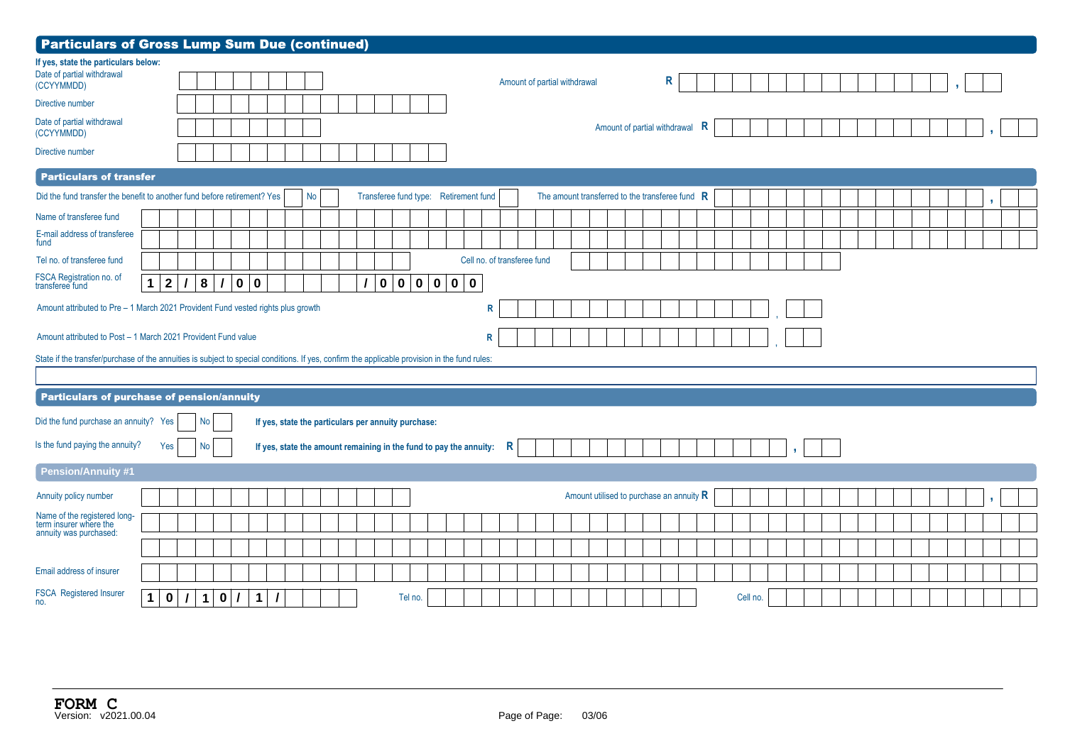| <b>Particulars of Gross Lump Sum Due (continued)</b>                                                                                          |                                |          |           |          |               |                         |                          |    |  |             |                                                                    |  |              |   |                              |  |                                          |  |   |   |          |  |   |  |  |  |  |  |    |  |
|-----------------------------------------------------------------------------------------------------------------------------------------------|--------------------------------|----------|-----------|----------|---------------|-------------------------|--------------------------|----|--|-------------|--------------------------------------------------------------------|--|--------------|---|------------------------------|--|------------------------------------------|--|---|---|----------|--|---|--|--|--|--|--|----|--|
| If yes, state the particulars below:<br>Date of partial withdrawal<br>(CCYYMMDD)<br>Directive number                                          |                                |          |           |          |               |                         |                          |    |  |             |                                                                    |  |              |   | Amount of partial withdrawal |  |                                          |  | R |   |          |  |   |  |  |  |  |  |    |  |
| Date of partial withdrawal<br>(CCYYMMDD)                                                                                                      |                                |          |           |          |               |                         |                          |    |  |             |                                                                    |  |              |   |                              |  | Amount of partial withdrawal             |  |   | R |          |  |   |  |  |  |  |  |    |  |
| Directive number                                                                                                                              |                                |          |           |          |               |                         |                          |    |  |             |                                                                    |  |              |   |                              |  |                                          |  |   |   |          |  |   |  |  |  |  |  |    |  |
| <b>Particulars of transfer</b>                                                                                                                |                                |          |           |          |               |                         |                          |    |  |             |                                                                    |  |              |   |                              |  |                                          |  |   |   |          |  |   |  |  |  |  |  |    |  |
| Did the fund transfer the benefit to another fund before retirement? Yes                                                                      |                                |          |           |          |               |                         |                          | No |  |             | Transferee fund type: Retirement fund                              |  |              |   |                              |  |                                          |  |   |   |          |  |   |  |  |  |  |  | g. |  |
| Name of transferee fund                                                                                                                       |                                |          |           |          |               |                         |                          |    |  |             |                                                                    |  |              |   |                              |  |                                          |  |   |   |          |  |   |  |  |  |  |  |    |  |
| E-mail address of transferee<br>fund                                                                                                          |                                |          |           |          |               |                         |                          |    |  |             |                                                                    |  |              |   |                              |  |                                          |  |   |   |          |  |   |  |  |  |  |  |    |  |
| Tel no. of transferee fund                                                                                                                    |                                |          |           |          |               |                         |                          |    |  |             |                                                                    |  |              |   | Cell no. of transferee fund  |  |                                          |  |   |   |          |  |   |  |  |  |  |  |    |  |
| FSCA Registration no. of<br>transferee fund                                                                                                   | $\overline{2}$<br>$\mathbf{1}$ | $\prime$ | 8         | $\prime$ | $\mathbf 0$   | $\overline{\mathbf{0}}$ |                          |    |  | $\mathbf 0$ | 0 0 0 0 0                                                          |  |              |   |                              |  |                                          |  |   |   |          |  |   |  |  |  |  |  |    |  |
| Amount attributed to Pre - 1 March 2021 Provident Fund vested rights plus growth                                                              |                                |          |           |          |               |                         |                          |    |  |             |                                                                    |  | $\mathsf{R}$ |   |                              |  |                                          |  |   |   |          |  |   |  |  |  |  |  |    |  |
| Amount attributed to Post - 1 March 2021 Provident Fund value                                                                                 |                                |          |           |          |               |                         |                          |    |  |             |                                                                    |  | R            |   |                              |  |                                          |  |   |   |          |  |   |  |  |  |  |  |    |  |
| State if the transfer/purchase of the annuities is subject to special conditions. If yes, confirm the applicable provision in the fund rules: |                                |          |           |          |               |                         |                          |    |  |             |                                                                    |  |              |   |                              |  |                                          |  |   |   |          |  |   |  |  |  |  |  |    |  |
| Particulars of purchase of pension/annuity                                                                                                    |                                |          |           |          |               |                         |                          |    |  |             |                                                                    |  |              |   |                              |  |                                          |  |   |   |          |  |   |  |  |  |  |  |    |  |
| Did the fund purchase an annuity? Yes                                                                                                         |                                |          | No        |          |               |                         |                          |    |  |             | If yes, state the particulars per annuity purchase:                |  |              |   |                              |  |                                          |  |   |   |          |  |   |  |  |  |  |  |    |  |
| Is the fund paying the annuity?                                                                                                               | Yes                            |          | No        |          |               |                         |                          |    |  |             | If yes, state the amount remaining in the fund to pay the annuity: |  |              | R |                              |  |                                          |  |   |   |          |  | y |  |  |  |  |  |    |  |
| <b>Pension/Annuity #1</b>                                                                                                                     |                                |          |           |          |               |                         |                          |    |  |             |                                                                    |  |              |   |                              |  |                                          |  |   |   |          |  |   |  |  |  |  |  |    |  |
| Annuity policy number                                                                                                                         |                                |          |           |          |               |                         |                          |    |  |             |                                                                    |  |              |   |                              |  | Amount utilised to purchase an annuity R |  |   |   |          |  |   |  |  |  |  |  |    |  |
| Name of the registered long-<br>term insurer where the<br>annuity was purchased:                                                              |                                |          |           |          |               |                         |                          |    |  |             |                                                                    |  |              |   |                              |  |                                          |  |   |   |          |  |   |  |  |  |  |  |    |  |
|                                                                                                                                               |                                |          |           |          |               |                         |                          |    |  |             |                                                                    |  |              |   |                              |  |                                          |  |   |   |          |  |   |  |  |  |  |  |    |  |
| Email address of insurer                                                                                                                      |                                |          |           |          |               |                         |                          |    |  |             |                                                                    |  |              |   |                              |  |                                          |  |   |   |          |  |   |  |  |  |  |  |    |  |
| FSCA Registered Insurer<br>no.                                                                                                                | $\bf{0}$<br>$\mathbf 1$        | $\vert$  | $\vert$ 1 |          | $0$ / $\vert$ | $\mathbf 1$             | $\overline{\phantom{a}}$ |    |  |             | Tel no.                                                            |  |              |   |                              |  |                                          |  |   |   | Cell no. |  |   |  |  |  |  |  |    |  |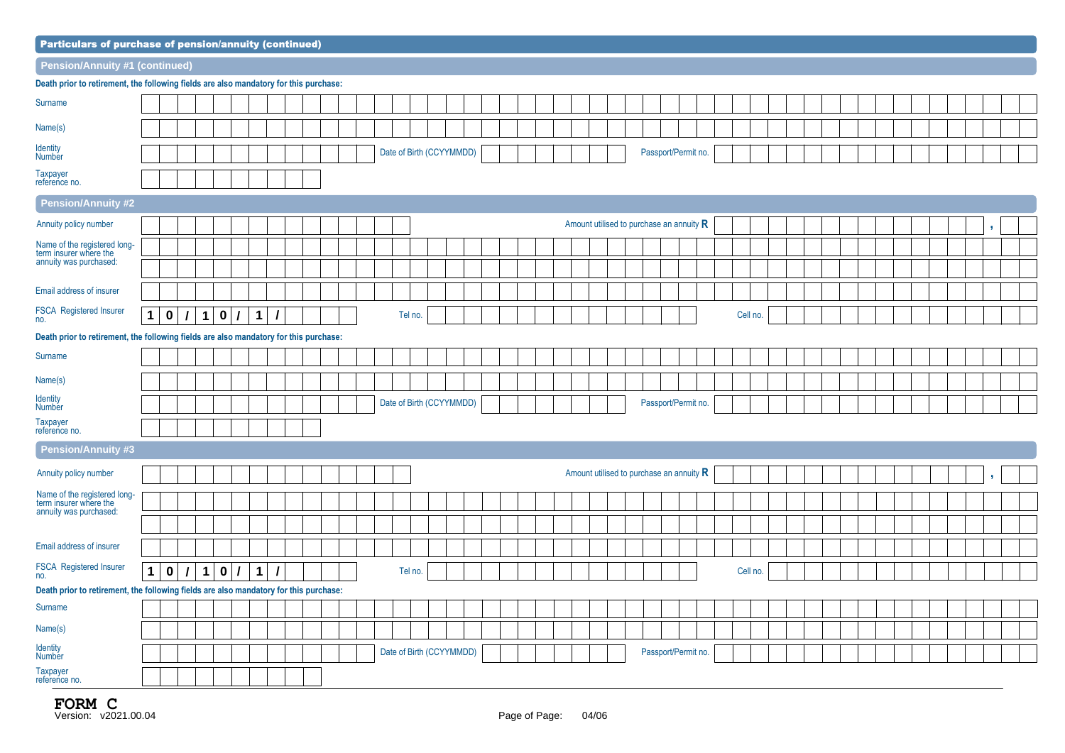| <b>Particulars of purchase of pension/annuity (continued)</b>                         |              |              |          |             |             |          |              |          |  |  |  |                          |         |  |  |  |  |  |  |  |                                            |  |  |          |  |  |  |  |  |  |  |    |  |
|---------------------------------------------------------------------------------------|--------------|--------------|----------|-------------|-------------|----------|--------------|----------|--|--|--|--------------------------|---------|--|--|--|--|--|--|--|--------------------------------------------|--|--|----------|--|--|--|--|--|--|--|----|--|
| Pension/Annuity #1 (continued)                                                        |              |              |          |             |             |          |              |          |  |  |  |                          |         |  |  |  |  |  |  |  |                                            |  |  |          |  |  |  |  |  |  |  |    |  |
| Death prior to retirement, the following fields are also mandatory for this purchase: |              |              |          |             |             |          |              |          |  |  |  |                          |         |  |  |  |  |  |  |  |                                            |  |  |          |  |  |  |  |  |  |  |    |  |
| Surname                                                                               |              |              |          |             |             |          |              |          |  |  |  |                          |         |  |  |  |  |  |  |  |                                            |  |  |          |  |  |  |  |  |  |  |    |  |
| Name(s)                                                                               |              |              |          |             |             |          |              |          |  |  |  |                          |         |  |  |  |  |  |  |  |                                            |  |  |          |  |  |  |  |  |  |  |    |  |
| <b>Identity</b><br>Number                                                             |              |              |          |             |             |          |              |          |  |  |  | Date of Birth (CCYYMMDD) |         |  |  |  |  |  |  |  | Passport/Permit no.                        |  |  |          |  |  |  |  |  |  |  |    |  |
| Taxpayer<br>reference no.                                                             |              |              |          |             |             |          |              |          |  |  |  |                          |         |  |  |  |  |  |  |  |                                            |  |  |          |  |  |  |  |  |  |  |    |  |
| Pension/Annuity #2                                                                    |              |              |          |             |             |          |              |          |  |  |  |                          |         |  |  |  |  |  |  |  |                                            |  |  |          |  |  |  |  |  |  |  |    |  |
| Annuity policy number                                                                 |              |              |          |             |             |          |              |          |  |  |  |                          |         |  |  |  |  |  |  |  | Amount utilised to purchase an annuity $R$ |  |  |          |  |  |  |  |  |  |  | Đ. |  |
| Name of the registered long-<br>term insurer where the                                |              |              |          |             |             |          |              |          |  |  |  |                          |         |  |  |  |  |  |  |  |                                            |  |  |          |  |  |  |  |  |  |  |    |  |
| annuity was purchased:                                                                |              |              |          |             |             |          |              |          |  |  |  |                          |         |  |  |  |  |  |  |  |                                            |  |  |          |  |  |  |  |  |  |  |    |  |
| Email address of insurer                                                              |              |              |          |             |             |          |              |          |  |  |  |                          |         |  |  |  |  |  |  |  |                                            |  |  |          |  |  |  |  |  |  |  |    |  |
| <b>FSCA Registered Insurer</b><br>no.                                                 | $\mathbf{1}$ | $\mathbf{0}$ | $\prime$ | $\vert$ 1   | 0/          |          | $\vert$ 1    | $\prime$ |  |  |  |                          | Tel no. |  |  |  |  |  |  |  |                                            |  |  | Cell no. |  |  |  |  |  |  |  |    |  |
| Death prior to retirement, the following fields are also mandatory for this purchase: |              |              |          |             |             |          |              |          |  |  |  |                          |         |  |  |  |  |  |  |  |                                            |  |  |          |  |  |  |  |  |  |  |    |  |
| Surname                                                                               |              |              |          |             |             |          |              |          |  |  |  |                          |         |  |  |  |  |  |  |  |                                            |  |  |          |  |  |  |  |  |  |  |    |  |
| Name(s)                                                                               |              |              |          |             |             |          |              |          |  |  |  |                          |         |  |  |  |  |  |  |  |                                            |  |  |          |  |  |  |  |  |  |  |    |  |
| <b>Identity</b><br>Number                                                             |              |              |          |             |             |          |              |          |  |  |  | Date of Birth (CCYYMMDD) |         |  |  |  |  |  |  |  | Passport/Permit no.                        |  |  |          |  |  |  |  |  |  |  |    |  |
| Taxpayer<br>reference no.                                                             |              |              |          |             |             |          |              |          |  |  |  |                          |         |  |  |  |  |  |  |  |                                            |  |  |          |  |  |  |  |  |  |  |    |  |
| <b>Pension/Annuity #3</b>                                                             |              |              |          |             |             |          |              |          |  |  |  |                          |         |  |  |  |  |  |  |  |                                            |  |  |          |  |  |  |  |  |  |  |    |  |
| Annuity policy number                                                                 |              |              |          |             |             |          |              |          |  |  |  |                          |         |  |  |  |  |  |  |  | Amount utilised to purchase an annuity $R$ |  |  |          |  |  |  |  |  |  |  |    |  |
| Name of the registered long-<br>term insurer where the                                |              |              |          |             |             |          |              |          |  |  |  |                          |         |  |  |  |  |  |  |  |                                            |  |  |          |  |  |  |  |  |  |  |    |  |
| annuity was purchased:                                                                |              |              |          |             |             |          |              |          |  |  |  |                          |         |  |  |  |  |  |  |  |                                            |  |  |          |  |  |  |  |  |  |  |    |  |
| Email address of insurer                                                              |              |              |          |             |             |          |              |          |  |  |  |                          |         |  |  |  |  |  |  |  |                                            |  |  |          |  |  |  |  |  |  |  |    |  |
|                                                                                       |              |              |          |             |             |          |              |          |  |  |  |                          |         |  |  |  |  |  |  |  |                                            |  |  |          |  |  |  |  |  |  |  |    |  |
| FSCA Registered Insurer<br>no.                                                        | $\mathbf 1$  | $\mathbf 0$  | $\prime$ | $\mathbf 1$ | $\mathbf 0$ | $\prime$ | $\mathbf{1}$ |          |  |  |  |                          | Tel no. |  |  |  |  |  |  |  |                                            |  |  | Cell no. |  |  |  |  |  |  |  |    |  |
| Death prior to retirement, the following fields are also mandatory for this purchase: |              |              |          |             |             |          |              |          |  |  |  |                          |         |  |  |  |  |  |  |  |                                            |  |  |          |  |  |  |  |  |  |  |    |  |
| Surname                                                                               |              |              |          |             |             |          |              |          |  |  |  |                          |         |  |  |  |  |  |  |  |                                            |  |  |          |  |  |  |  |  |  |  |    |  |
| Name(s)                                                                               |              |              |          |             |             |          |              |          |  |  |  |                          |         |  |  |  |  |  |  |  |                                            |  |  |          |  |  |  |  |  |  |  |    |  |
| Identity<br>Number                                                                    |              |              |          |             |             |          |              |          |  |  |  | Date of Birth (CCYYMMDD) |         |  |  |  |  |  |  |  | Passport/Permit no.                        |  |  |          |  |  |  |  |  |  |  |    |  |
| Taxpayer<br>reference no.                                                             |              |              |          |             |             |          |              |          |  |  |  |                          |         |  |  |  |  |  |  |  |                                            |  |  |          |  |  |  |  |  |  |  |    |  |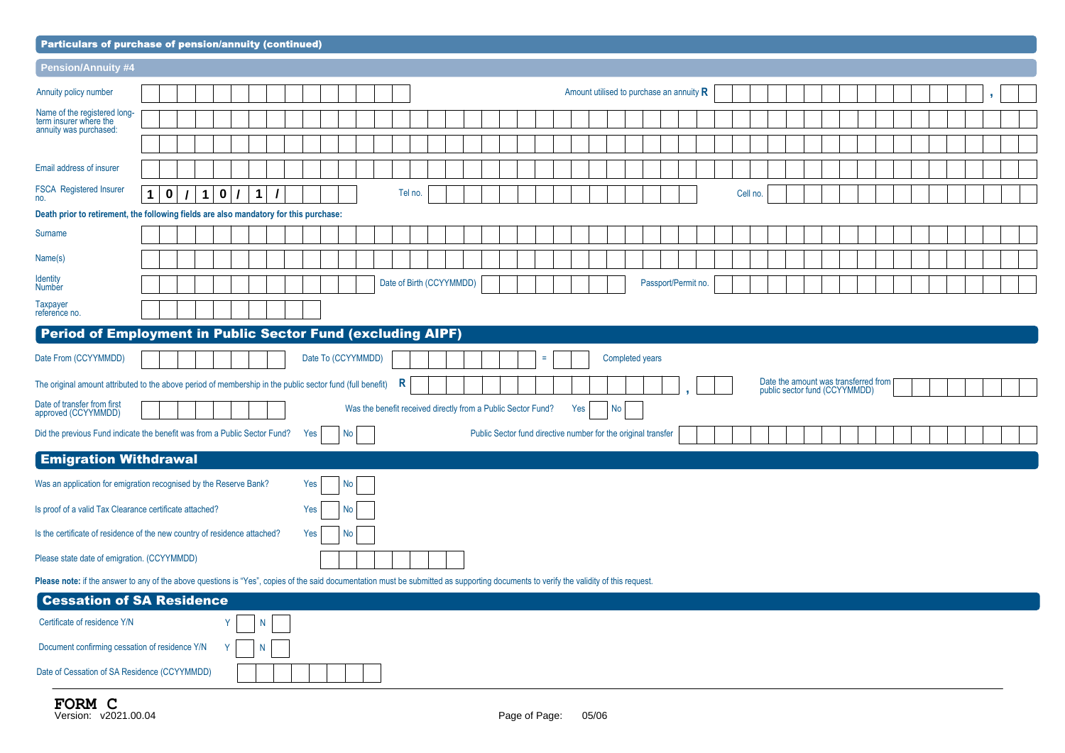| <b>Particulars of purchase of pension/annuity (continued)</b>                                                                                                                         |                                                                                                                                                                                                                                  |  |   |             |          |   |  |     |  |           |  |  |                                                              |  |  |  |  |  |     |                                                               |  |                     |  |          |  |  |  |  |  |  |  |
|---------------------------------------------------------------------------------------------------------------------------------------------------------------------------------------|----------------------------------------------------------------------------------------------------------------------------------------------------------------------------------------------------------------------------------|--|---|-------------|----------|---|--|-----|--|-----------|--|--|--------------------------------------------------------------|--|--|--|--|--|-----|---------------------------------------------------------------|--|---------------------|--|----------|--|--|--|--|--|--|--|
| <b>Pension/Annuity #4</b>                                                                                                                                                             |                                                                                                                                                                                                                                  |  |   |             |          |   |  |     |  |           |  |  |                                                              |  |  |  |  |  |     |                                                               |  |                     |  |          |  |  |  |  |  |  |  |
| Annuity policy number                                                                                                                                                                 |                                                                                                                                                                                                                                  |  |   |             |          |   |  |     |  |           |  |  |                                                              |  |  |  |  |  |     | Amount utilised to purchase an annuity $R$                    |  |                     |  |          |  |  |  |  |  |  |  |
| Name of the registered long-<br>term insurer where the                                                                                                                                |                                                                                                                                                                                                                                  |  |   |             |          |   |  |     |  |           |  |  |                                                              |  |  |  |  |  |     |                                                               |  |                     |  |          |  |  |  |  |  |  |  |
| annuity was purchased:                                                                                                                                                                |                                                                                                                                                                                                                                  |  |   |             |          |   |  |     |  |           |  |  |                                                              |  |  |  |  |  |     |                                                               |  |                     |  |          |  |  |  |  |  |  |  |
| Email address of insurer                                                                                                                                                              |                                                                                                                                                                                                                                  |  |   |             |          |   |  |     |  |           |  |  |                                                              |  |  |  |  |  |     |                                                               |  |                     |  |          |  |  |  |  |  |  |  |
| <b>FSCA Registered Insurer</b><br>no.                                                                                                                                                 | $\bf{0}$<br>$\mathbf 1$                                                                                                                                                                                                          |  | 1 | $\mathbf 0$ | $\prime$ | 1 |  |     |  |           |  |  | Tel no.                                                      |  |  |  |  |  |     |                                                               |  |                     |  | Cell no. |  |  |  |  |  |  |  |
| Death prior to retirement, the following fields are also mandatory for this purchase:                                                                                                 |                                                                                                                                                                                                                                  |  |   |             |          |   |  |     |  |           |  |  |                                                              |  |  |  |  |  |     |                                                               |  |                     |  |          |  |  |  |  |  |  |  |
| Surname                                                                                                                                                                               |                                                                                                                                                                                                                                  |  |   |             |          |   |  |     |  |           |  |  |                                                              |  |  |  |  |  |     |                                                               |  |                     |  |          |  |  |  |  |  |  |  |
| Name(s)                                                                                                                                                                               |                                                                                                                                                                                                                                  |  |   |             |          |   |  |     |  |           |  |  |                                                              |  |  |  |  |  |     |                                                               |  |                     |  |          |  |  |  |  |  |  |  |
| <b>Identity</b><br><b>Number</b>                                                                                                                                                      |                                                                                                                                                                                                                                  |  |   |             |          |   |  |     |  |           |  |  | Date of Birth (CCYYMMDD)                                     |  |  |  |  |  |     |                                                               |  | Passport/Permit no. |  |          |  |  |  |  |  |  |  |
| <b>Taxpayer</b><br>reference no.                                                                                                                                                      | Period of Employment in Public Sector Fund (excluding AIPF)<br>$\equiv$                                                                                                                                                          |  |   |             |          |   |  |     |  |           |  |  |                                                              |  |  |  |  |  |     |                                                               |  |                     |  |          |  |  |  |  |  |  |  |
|                                                                                                                                                                                       |                                                                                                                                                                                                                                  |  |   |             |          |   |  |     |  |           |  |  |                                                              |  |  |  |  |  |     |                                                               |  |                     |  |          |  |  |  |  |  |  |  |
| Date From (CCYYMMDD)                                                                                                                                                                  |                                                                                                                                                                                                                                  |  |   |             |          |   |  |     |  |           |  |  |                                                              |  |  |  |  |  |     |                                                               |  |                     |  |          |  |  |  |  |  |  |  |
|                                                                                                                                                                                       | Date To (CCYYMMDD)<br>Completed years<br>Date the amount was transferred from<br>R<br>The original amount attributed to the above period of membership in the public sector fund (full benefit)<br>public sector fund (CCYYMMDD) |  |   |             |          |   |  |     |  |           |  |  |                                                              |  |  |  |  |  |     |                                                               |  |                     |  |          |  |  |  |  |  |  |  |
| Date of transfer from first<br>approved (CCYYMMDD)                                                                                                                                    |                                                                                                                                                                                                                                  |  |   |             |          |   |  |     |  |           |  |  | Was the benefit received directly from a Public Sector Fund? |  |  |  |  |  | Yes | No                                                            |  |                     |  |          |  |  |  |  |  |  |  |
| Did the previous Fund indicate the benefit was from a Public Sector Fund?                                                                                                             |                                                                                                                                                                                                                                  |  |   |             |          |   |  | Yes |  | <b>No</b> |  |  |                                                              |  |  |  |  |  |     | Public Sector fund directive number for the original transfer |  |                     |  |          |  |  |  |  |  |  |  |
| <b>Emigration Withdrawal</b>                                                                                                                                                          |                                                                                                                                                                                                                                  |  |   |             |          |   |  |     |  |           |  |  |                                                              |  |  |  |  |  |     |                                                               |  |                     |  |          |  |  |  |  |  |  |  |
| Was an application for emigration recognised by the Reserve Bank?                                                                                                                     |                                                                                                                                                                                                                                  |  |   |             |          |   |  | Yes |  | No        |  |  |                                                              |  |  |  |  |  |     |                                                               |  |                     |  |          |  |  |  |  |  |  |  |
| Is proof of a valid Tax Clearance certificate attached?                                                                                                                               |                                                                                                                                                                                                                                  |  |   |             |          |   |  | Yes |  | No        |  |  |                                                              |  |  |  |  |  |     |                                                               |  |                     |  |          |  |  |  |  |  |  |  |
| Is the certificate of residence of the new country of residence attached?                                                                                                             |                                                                                                                                                                                                                                  |  |   |             |          |   |  | Yes |  | No        |  |  |                                                              |  |  |  |  |  |     |                                                               |  |                     |  |          |  |  |  |  |  |  |  |
| Please state date of emigration. (CCYYMMDD)                                                                                                                                           |                                                                                                                                                                                                                                  |  |   |             |          |   |  |     |  |           |  |  |                                                              |  |  |  |  |  |     |                                                               |  |                     |  |          |  |  |  |  |  |  |  |
| Please note: if the answer to any of the above questions is "Yes", copies of the said documentation must be submitted as supporting documents to verify the validity of this request. |                                                                                                                                                                                                                                  |  |   |             |          |   |  |     |  |           |  |  |                                                              |  |  |  |  |  |     |                                                               |  |                     |  |          |  |  |  |  |  |  |  |
| <b>Cessation of SA Residence</b>                                                                                                                                                      |                                                                                                                                                                                                                                  |  |   |             |          |   |  |     |  |           |  |  |                                                              |  |  |  |  |  |     |                                                               |  |                     |  |          |  |  |  |  |  |  |  |
| Certificate of residence Y/N                                                                                                                                                          |                                                                                                                                                                                                                                  |  |   | Y           |          | N |  |     |  |           |  |  |                                                              |  |  |  |  |  |     |                                                               |  |                     |  |          |  |  |  |  |  |  |  |
| Document confirming cessation of residence Y/N                                                                                                                                        |                                                                                                                                                                                                                                  |  |   | Υ           |          | N |  |     |  |           |  |  |                                                              |  |  |  |  |  |     |                                                               |  |                     |  |          |  |  |  |  |  |  |  |

| Date of Cessation of SA Residence (CCYYMMDD) |  |
|----------------------------------------------|--|
|                                              |  |